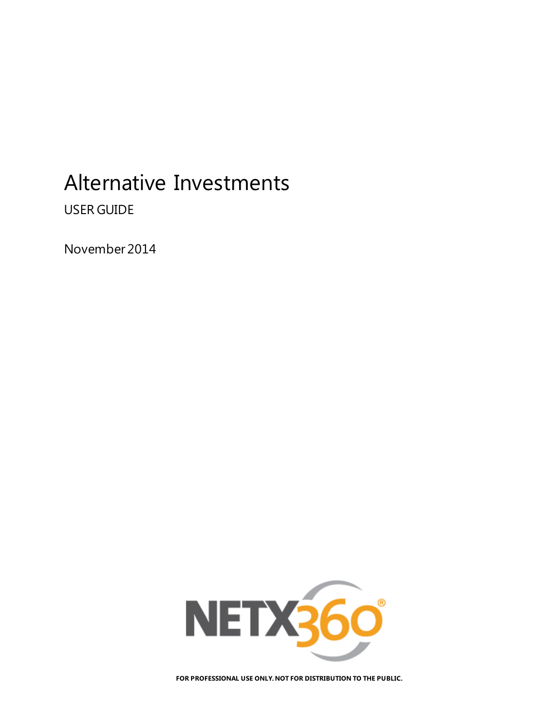# Alternative Investments

USER GUIDE

November 2014



**FOR PROFESSIONAL USE ONLY. NOT FOR DISTRIBUTION TO THE PUBLIC.**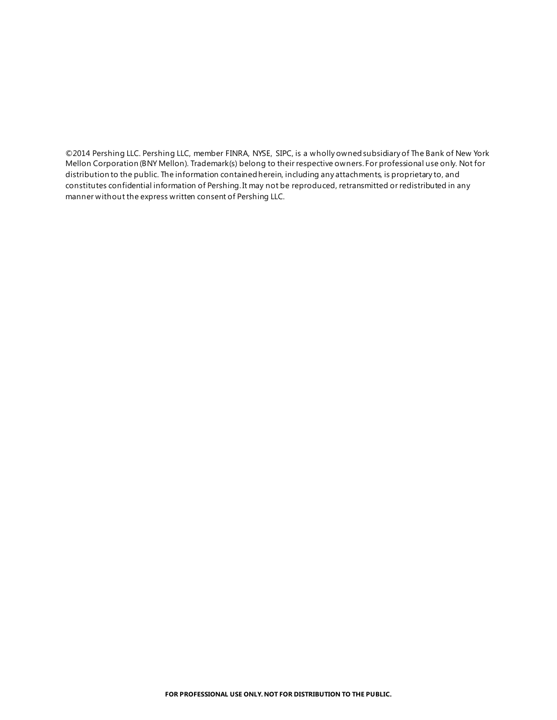©2014 Pershing LLC. Pershing LLC, member FINRA, NYSE, SIPC, is a wholly owned subsidiary of The Bank of New York Mellon Corporation (BNY Mellon). Trademark(s) belong to their respective owners. For professional use only. Not for distribution to the public. The information contained herein, including any attachments, is proprietary to, and constitutes confidential information of Pershing. It may not be reproduced, retransmitted or redistributed in any manner without the express written consent of Pershing LLC.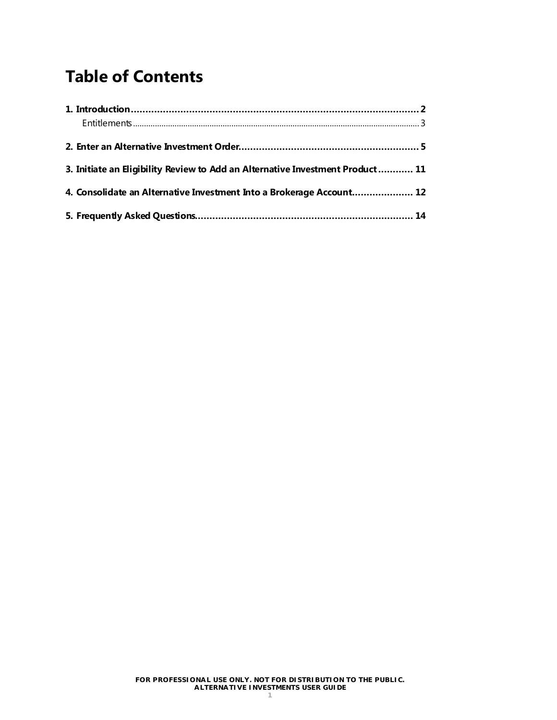## **Table of Contents**

| 3. Initiate an Eligibility Review to Add an Alternative Investment Product 11 |  |
|-------------------------------------------------------------------------------|--|
| 4. Consolidate an Alternative Investment Into a Brokerage Account 12          |  |
|                                                                               |  |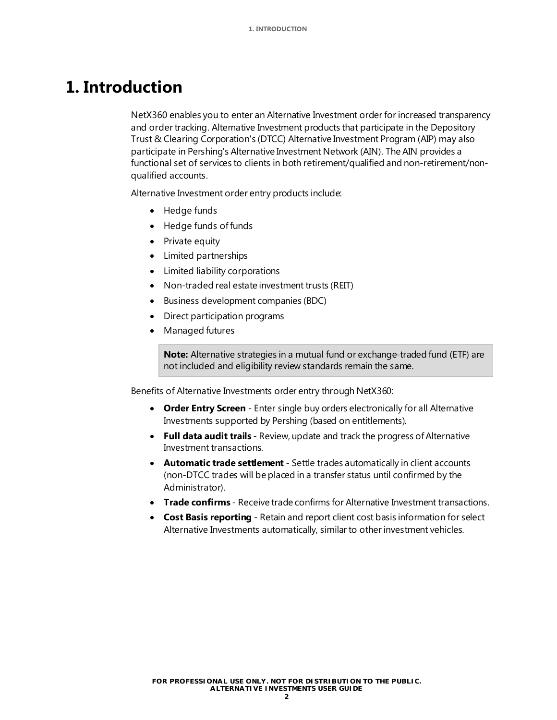## <span id="page-3-0"></span>**1. Introduction**

NetX360 enables you to enter an Alternative Investment order for increased transparency and order tracking. Alternative Investment products that participate in the Depository Trust & Clearing Corporation's (DTCC) Alternative Investment Program (AIP) may also participate in Pershing's Alternative Investment Network (AIN). The AIN provides a functional set of services to clients in both retirement/qualified and non-retirement/nonqualified accounts.

Alternative Investment order entry products include:

- Hedge funds
- Hedge funds of funds
- Private equity
- Limited partnerships
- Limited liability corporations
- Non-traded real estate investment trusts (REIT)
- Business development companies (BDC)
- Direct participation programs
- Managed futures

**Note:** Alternative strategies in a mutual fund or exchange-traded fund (ETF) are not included and eligibility review standards remain the same.

Benefits of Alternative Investments order entry through NetX360:

- **Order Entry Screen** Enter single buy orders electronically for all Alternative Investments supported by Pershing (based on entitlements).
- **Full data audit trails** Review, update and track the progress of Alternative Investment transactions.
- **Automatic trade settlement** Settle trades automatically in client accounts (non-DTCC trades will be placed in a transfer status until confirmed by the Administrator).
- **Trade confirms** Receive trade confirms for Alternative Investment transactions.
- **Cost Basis reporting** Retain and report client cost basis information for select Alternative Investments automatically, similar to other investment vehicles.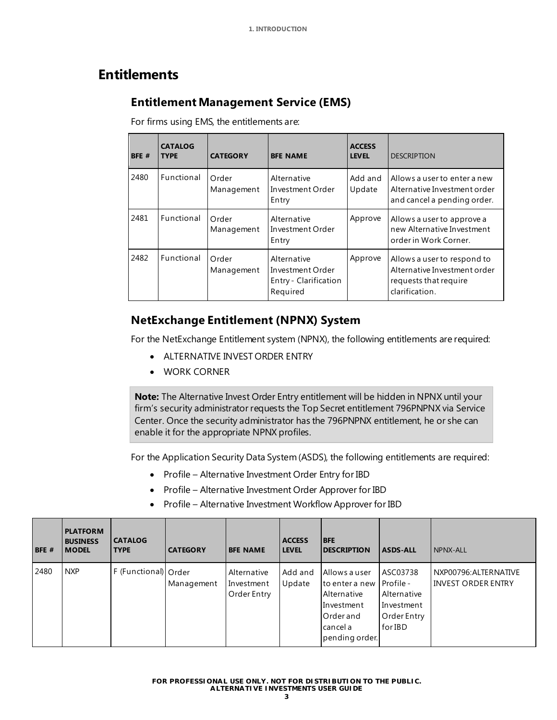### <span id="page-4-0"></span>**Entitlements**

### **Entitlement Management Service (EMS)**

For firms using EMS, the entitlements are:

| BFE # | <b>CATALOG</b><br><b>TYPE</b> | <b>CATEGORY</b>     | <b>BFE NAME</b>                                                      | <b>ACCESS</b><br><b>LEVEL</b> | <b>DESCRIPTION</b>                                                                                     |
|-------|-------------------------------|---------------------|----------------------------------------------------------------------|-------------------------------|--------------------------------------------------------------------------------------------------------|
| 2480  | Functional                    | Order<br>Management | Alternative<br>Investment Order<br>Entry                             | Add and<br>Update             | Allows a user to enter a new<br>Alternative Investment order<br>and cancel a pending order.            |
| 2481  | Functional                    | Order<br>Management | Alternative<br>Investment Order<br>Entry                             | Approve                       | Allows a user to approve a<br>new Alternative Investment<br>order in Work Corner.                      |
| 2482  | Functional                    | Order<br>Management | Alternative<br>Investment Order<br>Entry - Clarification<br>Required | Approve                       | Allows a user to respond to<br>Alternative Investment order<br>requests that require<br>clarification. |

### **NetExchange Entitlement (NPNX) System**

For the NetExchange Entitlement system (NPNX), the following entitlements are required:

- ALTERNATIVE INVEST ORDER ENTRY
- WORK CORNER

**Note:** The Alternative Invest Order Entry entitlement will be hidden in NPNX until your firm's security administrator requests the Top Secret entitlement 796PNPNX via Service Center. Once the security administrator has the 796PNPNX entitlement, he or she can enable it for the appropriate NPNX profiles.

For the Application Security Data System (ASDS), the following entitlements are required:

- Profile Alternative Investment Order Entry for IBD
- Profile Alternative Investment Order Approver for IBD
- Profile Alternative Investment Workflow Approver for IBD

| BFE # | <b>PLATFORM</b><br><b>BUSINESS</b><br><b>IMODEL</b> | <b>CATALOG</b><br><b>TYPE</b> | <b>CATEGORY</b> | <b>BFE NAME</b>                          | <b>ACCESS</b><br><b>LEVEL</b> | <b>BFE</b><br><b>IDESCRIPTION</b>                                                                                 | <b>ASDS-ALL</b>                                                 | NPNX-ALL                                           |
|-------|-----------------------------------------------------|-------------------------------|-----------------|------------------------------------------|-------------------------------|-------------------------------------------------------------------------------------------------------------------|-----------------------------------------------------------------|----------------------------------------------------|
| 2480  | <b>NXP</b>                                          | F (Functional) Order          | Management      | Alternative<br>Investment<br>Order Entry | Add and<br>Update             | Allows a user<br>to enter a new Profile -<br>Alternative<br>Investment<br>Order and<br>cancel a<br>pending order. | ASC03738<br>Alternative<br>Investment<br>Order Entry<br>for IBD | NXP00796: ALTERNATIVE<br><b>INVEST ORDER ENTRY</b> |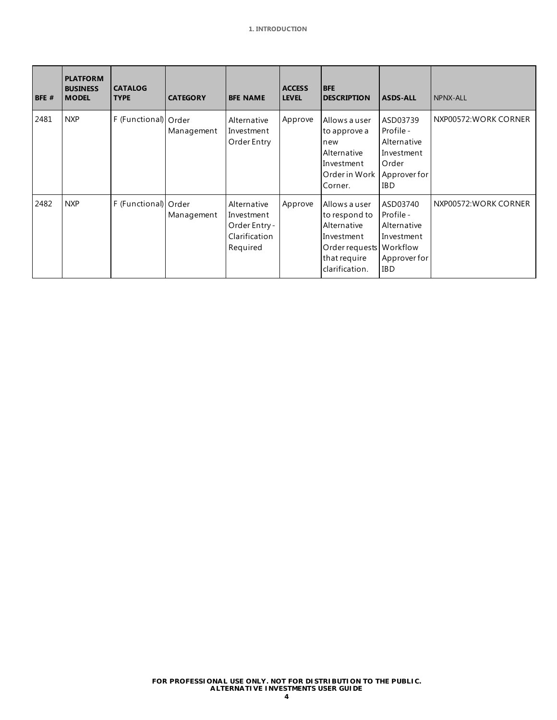| BFE # | <b>PLATFORM</b><br><b>BUSINESS</b><br><b>MODEL</b> | <b>CATALOG</b><br><b>TYPE</b> | <b>CATEGORY</b> | <b>BFE NAME</b>                                                         | <b>ACCESS</b><br><b>LEVEL</b> | <b>BFE</b><br><b>DESCRIPTION</b>                                                                                         | <b>ASDS-ALL</b>                                                                           | NPNX-ALL              |
|-------|----------------------------------------------------|-------------------------------|-----------------|-------------------------------------------------------------------------|-------------------------------|--------------------------------------------------------------------------------------------------------------------------|-------------------------------------------------------------------------------------------|-----------------------|
| 2481  | <b>NXP</b>                                         | F (Functional) Order          | Management      | Alternative<br>Investment<br>Order Entry                                | Approve                       | Allows a user<br>to approve a<br>new<br>Alternative<br>Investment<br>Order in Work<br>Corner.                            | ASD03739<br>Profile -<br>Alternative<br>Investment<br>Order<br>Approver for<br><b>IBD</b> | NXP00572: WORK CORNER |
| 2482  | <b>NXP</b>                                         | F (Functional) Order          | Management      | Alternative<br>Investment<br>Order Entry -<br>Clarification<br>Required | Approve                       | Allows a user<br>to respond to<br>Alternative<br>Investment<br>Order requests Workflow<br>that require<br>clarification. | ASD03740<br>Profile -<br>Alternative<br>Investment<br>Approver for<br><b>IBD</b>          | NXP00572: WORK CORNER |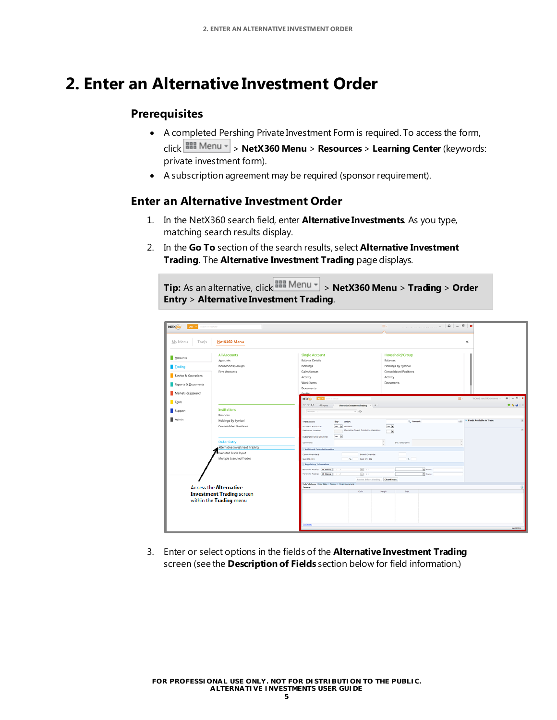## <span id="page-6-0"></span>**2. Enter an Alternative Investment Order**

### **Prerequisites**

- A completed Pershing Private Investment Form is required. To access the form, click > **NetX360 Menu** > **Resources** > **Learning Center** (keywords: private investment form).
- A subscription agreement may be required (sponsor requirement).

### **Enter an Alternative Investment Order**

- 1. In the NetX360 search field, enter **Alternative Investments**. As you type, matching search results display.
- 2. In the **Go To** section of the search results, select **Alternative Investment Trading**. The **Alternative Investment Trading** page displays.

**Tip:** As an alternative, click **FREE Menu** > **NetX360 Menu** > **Trading** > **Order Entry** > **Alternative Investment Trading**.

|                                                  |                                                                       | $A = 6x$<br>用·<br>$\sim$ 1                                                                                                                                                                                                                                                                                       |
|--------------------------------------------------|-----------------------------------------------------------------------|------------------------------------------------------------------------------------------------------------------------------------------------------------------------------------------------------------------------------------------------------------------------------------------------------------------|
| ALC: New Search in Net030<br>NETX <sub>360</sub> |                                                                       |                                                                                                                                                                                                                                                                                                                  |
| My Menu<br>Tools                                 | NetX360 Menu                                                          | ×                                                                                                                                                                                                                                                                                                                |
| Accounts<br>Irading<br>Service & Operations      | <b>All Accounts</b><br>Accounts<br>Households/Groups<br>Firm Accounts | <b>Single Account</b><br>Household/Group<br><b>Balance Details</b><br>Balances<br>Holdings<br>Holdings By Symbol<br>Gains/Losses<br>Consolidated Positions<br>Activity<br>Activity                                                                                                                               |
| Reports & Documents                              |                                                                       | Work Items<br>Documents<br>Documents                                                                                                                                                                                                                                                                             |
| Markets & Research<br>Tools                      |                                                                       | <b>Deadly</b><br>田一<br>NETX 500 201 12 September 201<br>490<br>$P A B I E$<br><b>W</b> Home<br>Alternative Investment Trading<br>$x + 4$                                                                                                                                                                         |
| Support                                          | <b>Institutions</b><br>Balances                                       | $\overline{\phantom{0}}$<br>Account                                                                                                                                                                                                                                                                              |
| Admin                                            | Holdings By Symbol<br>Consolidated Positions                          | uso 5 Funds Available to Trade:<br>C. Amount<br><b>Transaction</b><br><b>Buy</b><br><b>CUSTP:</b><br>$v_{0,0}$  M<br><b>Yes M</b> Solicited:<br>Discretion Evercloed:<br>Absmative Invest. Suitability Attestation:<br>Settlement Location:<br>$\overline{\phantom{a}}$<br>Yes W<br>Subscription Doc. Delivered: |
|                                                  | <b>Order Entry</b>                                                    | Comments:<br>Sec. Description:                                                                                                                                                                                                                                                                                   |
|                                                  | Alternative Investment Trading                                        | <b>Additional Order Information</b>                                                                                                                                                                                                                                                                              |
|                                                  | Executed Trade Input<br>Multiple Executed Trades                      | Comm Override: 6<br>Branch Overvide:<br>Sale 1PL: 1P#<br>Split 1P2: 1P#<br><b>Regulatory Information</b>                                                                                                                                                                                                         |
|                                                  |                                                                       | $\boxed{a}$ :<br>$\mathbf{x}$ runs<br><b>180 Order Receipt: DT Stamp</b><br>11                                                                                                                                                                                                                                   |
|                                                  |                                                                       | 国王<br><b>M</b> From:<br>Per Order Receipt: 01 Stamp. / /<br>Review Before Sending. Clear Fields                                                                                                                                                                                                                  |
|                                                  | <b>Access the Alternative</b>                                         | Teley's Balances   Order Status   Pactors   Plarge Augustavants<br>Company                                                                                                                                                                                                                                       |
|                                                  | <b>Investment Trading screen</b><br>within the Trading menu           | Cash<br>Margin<br>Shert                                                                                                                                                                                                                                                                                          |
|                                                  |                                                                       | <b>Castleiman</b><br>Ve:1270.54                                                                                                                                                                                                                                                                                  |

3. Enter or select options in the fields of the **Alternative Investment Trading**  screen (see the **Description of Fields** section below for field information.)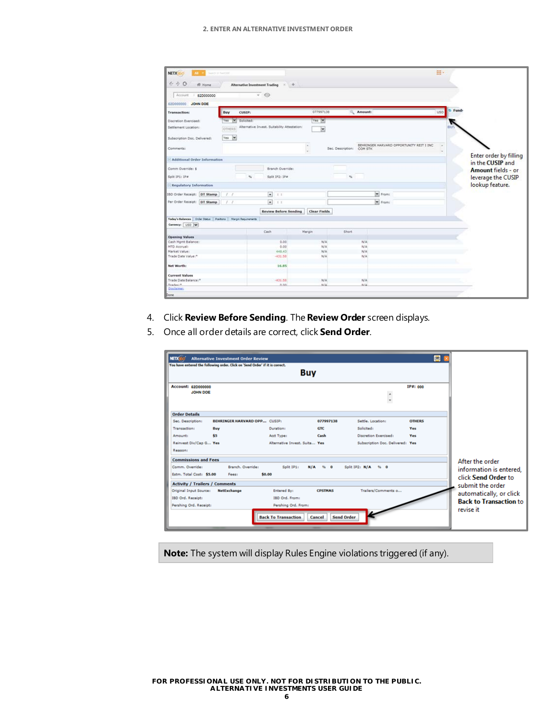#### **2. ENTER AN ALTERNATIVE INVESTMENT ORDER**

| <b>NETX</b><br><b>Based to Neither</b><br>AB -                    |                        |                                              |                          |                           |                                           | 摄)                  |                        |
|-------------------------------------------------------------------|------------------------|----------------------------------------------|--------------------------|---------------------------|-------------------------------------------|---------------------|------------------------|
| $\leftarrow$ $\rightarrow$ 0<br>骨 Home                            |                        | Alternative Investment Trading * +           |                          |                           |                                           |                     |                        |
|                                                                   |                        |                                              |                          |                           |                                           |                     |                        |
| Account<br>520000000                                              |                        | $\cdot$ $\circ$                              |                          |                           |                                           |                     |                        |
| 62D000000 JOHN DOE                                                |                        |                                              |                          |                           |                                           |                     |                        |
| <b>Transaction:</b>                                               | Buy<br>CUSIP:          |                                              | 077997138                | Amount:                   |                                           | Fund-<br><b>USD</b> |                        |
| Discretion Exercised:                                             | M<br>Solicited:<br>Yes |                                              | Yes Y                    |                           |                                           |                     |                        |
| Settlement Location:                                              | OTHERS                 | Alternative Invest. Suitability Attestation: | $\vert \mathbf{v} \vert$ |                           |                                           |                     |                        |
| Subscription Doc. Delivered:                                      | Yes V                  |                                              |                          |                           |                                           |                     |                        |
| Comments:                                                         |                        |                                              |                          | Sec. Description: COM STK | BEHRINGER HARVARD OPPORTUNITY REIT I INC. | <b>Car</b>          | Enter order by filling |
| <b>Additional Order Information</b>                               |                        |                                              |                          |                           |                                           |                     | in the CUSIP and       |
| Comm Override: \$                                                 |                        | Branch Override:                             |                          |                           |                                           |                     | Amount fields - or     |
| Solit IP1: IP#                                                    |                        | Split IP2: IP#<br>s                          |                          | 76                        |                                           |                     | leverage the CUSIP     |
| <b>Regulatory Information</b>                                     |                        |                                              |                          |                           |                                           |                     | lookup feature.        |
| IBD Order Receipt: DT Stamp                                       | $x \cdot r$            | $\overline{z}$<br>主主                         |                          |                           | Prom:                                     |                     |                        |
| Per Order Receipt: DT Stamp                                       | 1.7                    | $\bullet$<br>II.                             |                          |                           | $\n  From$                                |                     |                        |
|                                                                   |                        | <b>Review Before Sending</b>                 | <b>Clear Fields</b>      |                           |                                           |                     |                        |
| Today's Balances   Order Status   Positions   Margin Requirements |                        |                                              |                          |                           |                                           |                     |                        |
| Currency: USD W                                                   |                        |                                              |                          |                           |                                           |                     |                        |
|                                                                   |                        | Cash                                         | Margin                   | <b>Short</b>              |                                           |                     |                        |
| <b>Opening Values</b>                                             |                        |                                              |                          |                           |                                           |                     |                        |
| Cash Mgmt Balance:<br>MTD Accrual:                                |                        | 0.00<br>0.00                                 | N/A<br>N/A               | N/A<br>N/A                |                                           |                     |                        |
| Market Value:                                                     |                        | 448.43                                       | N/A                      | N/A                       |                                           |                     |                        |
| Trade Date Value:*                                                |                        | $-431.58$                                    | N/A                      | N/A                       |                                           |                     |                        |
| Net Worth:                                                        |                        | 16.85                                        |                          |                           |                                           |                     |                        |
| <b>Current Values</b>                                             |                        |                                              |                          |                           |                                           |                     |                        |
| Trade Date Balance:"                                              |                        | $-431.58$                                    | N/A                      | N/A                       |                                           |                     |                        |
| Tradas:"                                                          |                        | 0.00                                         | N/L                      | <b>N/A</b>                |                                           |                     |                        |
| Disclaiman                                                        |                        |                                              |                          |                           |                                           |                     |                        |
| Done                                                              |                        |                                              |                          |                           |                                           |                     |                        |

- 4. Click **Review Before Sending**. The **Review Order** screen displays.
- 5. Once all order details are correct, click **Send Order**.

| <b>NETX</b>                                 | <b>Alternative Investment Order Review</b><br>You have entered the following order. Click on 'Send Order' if it is correct. |                               |                |                                  | ۰             |                                                |
|---------------------------------------------|-----------------------------------------------------------------------------------------------------------------------------|-------------------------------|----------------|----------------------------------|---------------|------------------------------------------------|
|                                             |                                                                                                                             | <b>Buy</b>                    |                |                                  |               |                                                |
| Account: 620000000<br><b>JOHN DOE</b>       |                                                                                                                             |                               |                |                                  | IP#: 000      |                                                |
| <b>Order Details</b>                        |                                                                                                                             |                               |                |                                  |               |                                                |
| Sec. Description:                           | <b>BEHRINGER HARVARD OPP CUSIP:</b>                                                                                         |                               | 077997138      | Settle, Location:                | <b>OTHERS</b> |                                                |
| Transaction:                                | Buy                                                                                                                         | Duration:                     | <b>GTC</b>     | Solicited:                       | Yes           |                                                |
| Amount:                                     | \$5                                                                                                                         | Acct Type:                    | Cash           | Discretion Exercised:            | <b>Yes</b>    |                                                |
| Reinvest Div/Cap G Yes<br>Reason:           |                                                                                                                             | Alternative Invest, Suita Yes |                | Subscription Doc. Delivered: Yes |               |                                                |
| <b>Commissions and Fees</b>                 |                                                                                                                             |                               |                |                                  |               | After the order                                |
| Comm. Override:<br>Estm. Total Cost: \$5.00 | Branch, Override:<br>\$0.00<br>Fees:                                                                                        | Split IP11                    | $N/A$ % 0      | Solit IP2: N/A<br>$96 - 0$       |               | information is entered.<br>click Send Order to |
| <b>Activity / Trailers / Comments</b>       |                                                                                                                             |                               |                |                                  |               | submit the order                               |
| Original Input Source:                      | <b>NetExchange</b>                                                                                                          | <b>Entered By:</b>            | <b>CPSTMAS</b> | Trailers/Comments o              |               | automatically, or click                        |
| IBD Ord. Receipt:                           |                                                                                                                             | IBD Ord. From:                |                |                                  |               | <b>Back to Transaction to</b>                  |
| Pershing Ord. Receipt:                      |                                                                                                                             | Pershing Ord. From:           |                |                                  |               |                                                |
|                                             |                                                                                                                             | <b>Back To Transaction</b>    | Cancel         | <b>Send Order</b>                |               | revise it                                      |

**Note:** The system will display Rules Engine violations triggered (if any).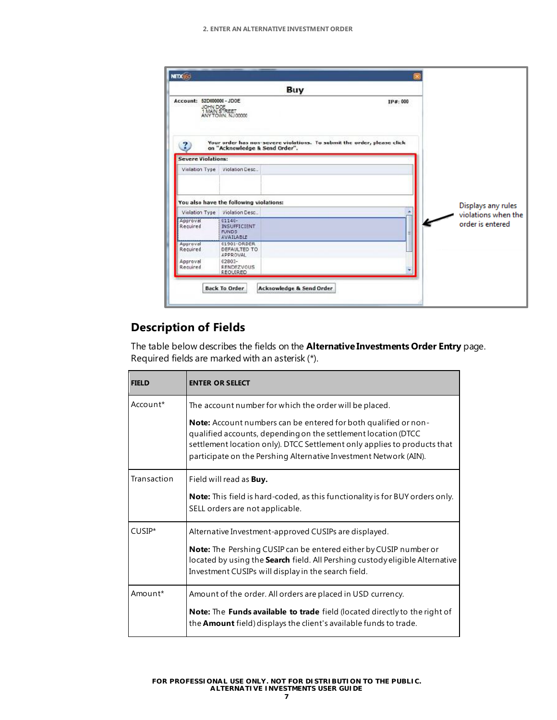|                                        | Buy                                                                                    |                                                                         |                                         |
|----------------------------------------|----------------------------------------------------------------------------------------|-------------------------------------------------------------------------|-----------------------------------------|
| Account: 52D000000-JD0E<br>JOHN DOE    | 1 MAIN STREET<br>ANY TOWN, NJ 00000                                                    | IP#: 000                                                                |                                         |
| <b>Severe Violations:</b>              | on "Acknowledge & Send Order".                                                         | Your order has non-severe violations. To submit the order, please click |                                         |
| Violation Type                         | Violation Desc.                                                                        |                                                                         |                                         |
|                                        | You also have the following violations:                                                |                                                                         | Displays any rules                      |
| Violation Type<br>Approval<br>Required | Violation Desc<br>$01140 -$<br><b>INSUFFICIENT</b><br><b>TUNDS</b><br><b>AVAILABLE</b> |                                                                         | violations when the<br>order is entered |
| Approval<br>Required                   | 01901-ORDER<br>DEFAULTED TO<br><b>APPROVAL</b>                                         |                                                                         |                                         |
|                                        | $02803 -$                                                                              |                                                                         |                                         |

## **Description of Fields**

The table below describes the fields on the **Alternative Investments Order Entry** page. Required fields are marked with an asterisk (\*).

| <b>FIELD</b> | <b>ENTER OR SELECT</b>                                                                                                                                                                                                                                                                    |
|--------------|-------------------------------------------------------------------------------------------------------------------------------------------------------------------------------------------------------------------------------------------------------------------------------------------|
| Account*     | The account number for which the order will be placed.                                                                                                                                                                                                                                    |
|              | <b>Note:</b> Account numbers can be entered for both qualified or non-<br>qualified accounts, depending on the settlement location (DTCC<br>settlement location only). DTCC Settlement only applies to products that<br>participate on the Pershing Alternative Investment Network (AIN). |
| Transaction  | Field will read as <b>Buy.</b>                                                                                                                                                                                                                                                            |
|              | <b>Note:</b> This field is hard-coded, as this functionality is for BUY orders only.<br>SELL orders are not applicable.                                                                                                                                                                   |
| CUSIP*       | Alternative Investment-approved CUSIPs are displayed.                                                                                                                                                                                                                                     |
|              | Note: The Pershing CUSIP can be entered either by CUSIP number or<br>located by using the <b>Search</b> field. All Pershing custody eligible Alternative<br>Investment CUSIPs will display in the search field.                                                                           |
| Amount*      | Amount of the order. All orders are placed in USD currency.                                                                                                                                                                                                                               |
|              | <b>Note:</b> The <b>Funds available to trade</b> field (located directly to the right of<br>the <b>Amount</b> field) displays the client's available funds to trade.                                                                                                                      |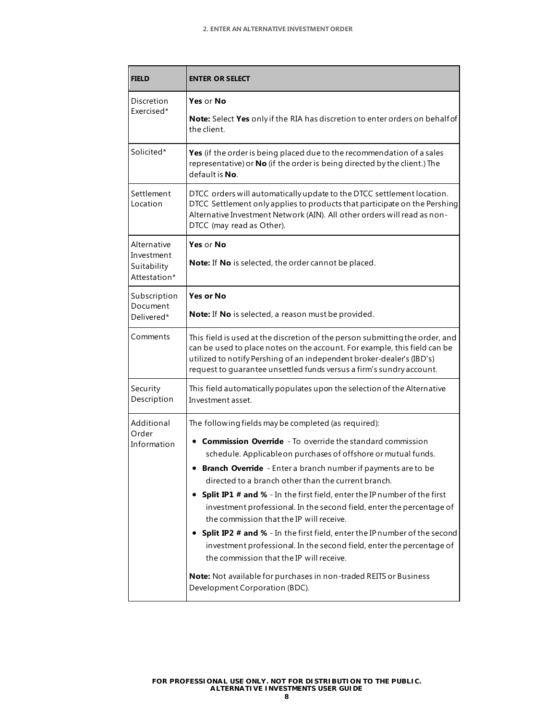| FIELD                                                    | <b>ENTER OR SELECT</b>                                                                                                                                                                                                                                                                                                                                                                                                                                                                                                                                                                                                                                                                                                                                                                                                             |  |  |  |  |
|----------------------------------------------------------|------------------------------------------------------------------------------------------------------------------------------------------------------------------------------------------------------------------------------------------------------------------------------------------------------------------------------------------------------------------------------------------------------------------------------------------------------------------------------------------------------------------------------------------------------------------------------------------------------------------------------------------------------------------------------------------------------------------------------------------------------------------------------------------------------------------------------------|--|--|--|--|
| Discretion<br>Exercised*                                 | Yes or No<br><b>Note:</b> Select Yes only if the RIA has discretion to enter orders on behalf of<br>the client.                                                                                                                                                                                                                                                                                                                                                                                                                                                                                                                                                                                                                                                                                                                    |  |  |  |  |
| Solicited*                                               | Yes (if the order is being placed due to the recommendation of a sales<br>representative) or No (if the order is being directed by the client.) The<br>default is <b>No</b> .                                                                                                                                                                                                                                                                                                                                                                                                                                                                                                                                                                                                                                                      |  |  |  |  |
| Settlement<br>Location                                   | DTCC orders will automatically update to the DTCC settlement location.<br>DTCC Settlement only applies to products that participate on the Pershing<br>Alternative Investment Network (AIN). All other orders will read as non-<br>DTCC (may read as Other).                                                                                                                                                                                                                                                                                                                                                                                                                                                                                                                                                                       |  |  |  |  |
| Alternative<br>Investment<br>Suitability<br>Attestation* | Yes or No<br>Note: If No is selected, the order cannot be placed.                                                                                                                                                                                                                                                                                                                                                                                                                                                                                                                                                                                                                                                                                                                                                                  |  |  |  |  |
| Subscription<br>Document<br>Delivered*                   | Yes or No<br>Note: If No is selected, a reason must be provided.                                                                                                                                                                                                                                                                                                                                                                                                                                                                                                                                                                                                                                                                                                                                                                   |  |  |  |  |
| Comments                                                 | This field is used at the discretion of the person submitting the order, and<br>can be used to place notes on the account. For example, this field can be<br>utilized to notify Pershing of an independent broker-dealer's (IBD's)<br>request to guarantee unsettled funds versus a firm's sundry account.                                                                                                                                                                                                                                                                                                                                                                                                                                                                                                                         |  |  |  |  |
| Security<br>Description                                  | This field automatically populates upon the selection of the Alternative<br>Investment asset.                                                                                                                                                                                                                                                                                                                                                                                                                                                                                                                                                                                                                                                                                                                                      |  |  |  |  |
| Additional<br>Order<br>Information                       | The following fields may be completed (as required):<br><b>• Commission Override</b> - To override the standard commission<br>schedule. Applicable on purchases of offshore or mutual funds.<br>• Branch Override - Enter a branch number if payments are to be<br>directed to a branch other than the current branch.<br>Split IP1 # and % - In the first field, enter the IP number of the first<br>investment professional. In the second field, enter the percentage of<br>the commission that the IP will receive.<br>• Split IP2 # and % - In the first field, enter the IP number of the second<br>investment professional. In the second field, enter the percentage of<br>the commission that the IP will receive.<br>Note: Not available for purchases in non-traded REITS or Business<br>Development Corporation (BDC). |  |  |  |  |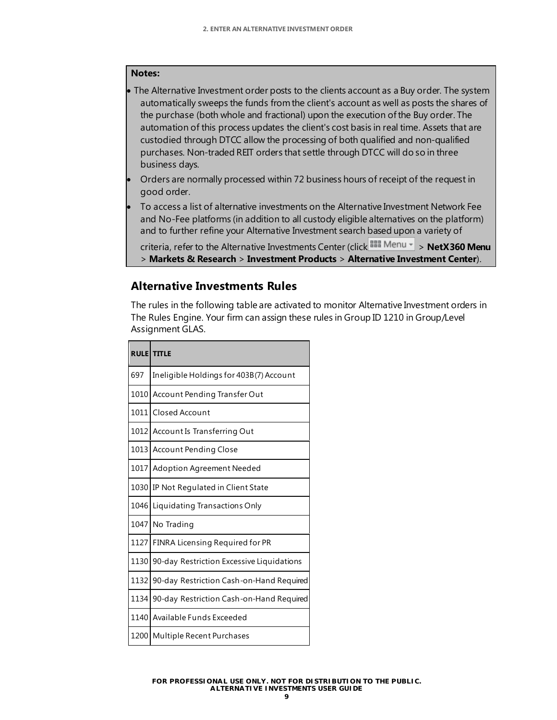#### **Notes:**

- The Alternative Investment order posts to the clients account as a Buy order. The system automatically sweeps the funds from the client's account as well as posts the shares of the purchase (both whole and fractional) upon the execution of the Buy order. The automation of this process updates the client's cost basis in real time. Assets that are custodied through DTCC allow the processing of both qualified and non-qualified purchases. Non-traded REIT orders that settle through DTCC will do so in three business days.
- Orders are normally processed within 72 business hours of receipt of the request in good order.
- To access a list of alternative investments on the Alternative Investment Network Fee and No-Fee platforms (in addition to all custody eligible alternatives on the platform) and to further refine your Alternative Investment search based upon a variety of

```
criteria, refer to the Alternative Investments Center (click <sup>BBB</sup> Menu - > NetX360 Menu
> Markets & Research > Investment Products > Alternative Investment Center).
```
### **Alternative Investments Rules**

The rules in the following table are activated to monitor Alternative Investment orders in The Rules Engine. Your firm can assign these rules in Group ID 1210 in Group/Level Assignment GLAS.

|      | <b>RULE TITLE</b>                         |
|------|-------------------------------------------|
| 697  | Ineligible Holdings for 403B(7) Account   |
|      | 1010 Account Pending Transfer Out         |
|      | 1011 Closed Account                       |
|      | 1012 Account Is Transferring Out          |
| 1013 | <b>Account Pending Close</b>              |
|      | 1017 Adoption Agreement Needed            |
| 1030 | IP Not Regulated in Client State          |
| 1046 | Liquidating Transactions Only             |
|      | 1047 No Trading                           |
| 1127 | FINRA Licensing Required for PR           |
| 1130 | 90-day Restriction Excessive Liquidations |
| 1132 | 90-day Restriction Cash-on-Hand Required  |
| 1134 | 90-day Restriction Cash-on-Hand Required  |
| 1140 | Available Funds Exceeded                  |
| 1200 | Multiple Recent Purchases                 |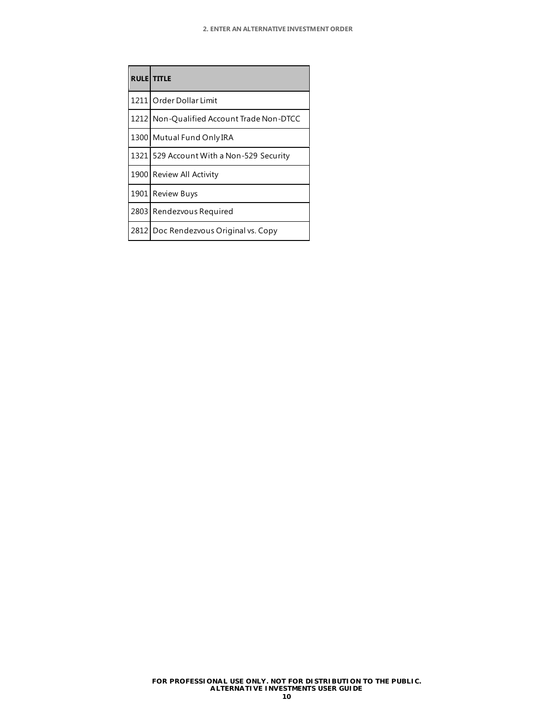| <b>RULE TITLE</b>                         |
|-------------------------------------------|
| 1211 Order Dollar Limit                   |
| 1212 Non-Qualified Account Trade Non-DTCC |
| 1300 Mutual Fund Only IRA                 |
| 1321 529 Account With a Non-529 Security  |
| 1900 Review All Activity                  |
| 1901 Review Buys                          |
| 2803 Rendezvous Required                  |
| 2812 Doc Rendezvous Original vs. Copy     |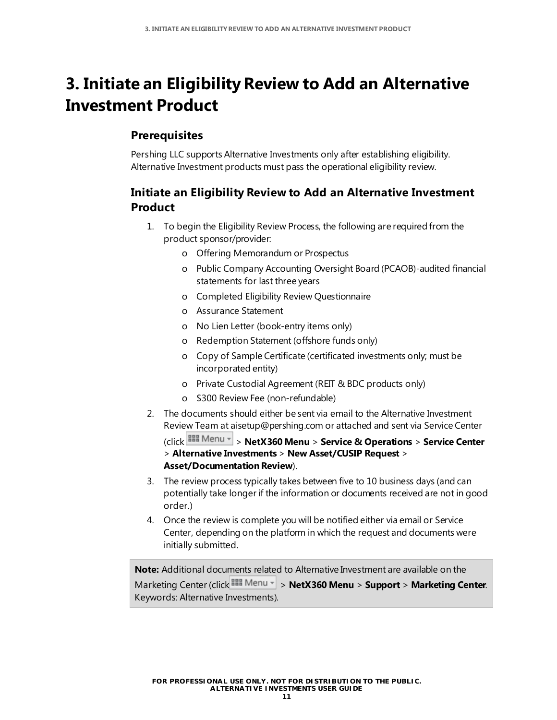## <span id="page-12-0"></span>**3. Initiate an Eligibility Review to Add an Alternative Investment Product**

### **Prerequisites**

Pershing LLC supports Alternative Investments only after establishing eligibility. Alternative Investment products must pass the operational eligibility review.

### **Initiate an Eligibility Review to Add an Alternative Investment Product**

- 1. To begin the Eligibility Review Process, the following are required from the product sponsor/provider:
	- o Offering Memorandum or Prospectus
	- o Public Company Accounting Oversight Board (PCAOB)-audited financial statements for last three years
	- o Completed Eligibility Review Questionnaire
	- o Assurance Statement
	- o No Lien Letter (book-entry items only)
	- o Redemption Statement (offshore funds only)
	- o Copy of Sample Certificate (certificated investments only; must be incorporated entity)
	- o Private Custodial Agreement (REIT & BDC products only)
	- o \$300 Review Fee (non-refundable)
- 2. The documents should either be sent via email to the Alternative Investment Review Team a[t aisetup@pershing.com](mailto:aisetup@pershing.com) or attached and sent via Service Center

(click > **NetX360 Menu** > **Service & Operations** > **Service Center** > **Alternative Investments** > **New Asset/CUSIP Request** > **Asset/Documentation Review**).

- 3. The review process typically takes between five to 10 business days (and can potentially take longer if the information or documents received are not in good order.)
- 4. Once the review is complete you will be notified either via email or Service Center, depending on the platform in which the request and documents were initially submitted.

**Note:** Additional documents related to Alternative Investment are available on the Marketing Center (click **BRE** Menu  $\le$  > **NetX360 Menu** > **Support** > **Marketing Center**. Keywords: Alternative Investments).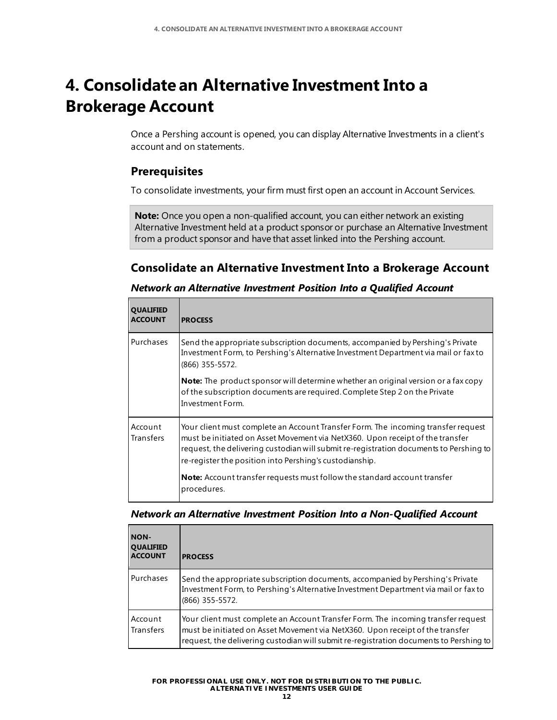## <span id="page-13-0"></span>**4. Consolidate an Alternative Investment Into a Brokerage Account**

Once a Pershing account is opened, you can display Alternative Investments in a client's account and on statements.

### **Prerequisites**

To consolidate investments, your firm must first open an account in Account Services.

**Note:** Once you open a non-qualified account, you can either network an existing Alternative Investment held at a product sponsor or purchase an Alternative Investment from a product sponsor and have that asset linked into the Pershing account.

### **Consolidate an Alternative Investment Into a Brokerage Account**

| <b>QUALIFIED</b><br><b>ACCOUNT</b> | <b>PROCESS</b>                                                                                                                                                                                                                                                                                                          |
|------------------------------------|-------------------------------------------------------------------------------------------------------------------------------------------------------------------------------------------------------------------------------------------------------------------------------------------------------------------------|
| Purchases                          | Send the appropriate subscription documents, accompanied by Pershing's Private<br>Investment Form, to Pershing's Alternative Investment Department via mail or fax to<br>(866) 355-5572.                                                                                                                                |
|                                    | <b>Note:</b> The product sponsor will determine whether an original version or a fax copy<br>of the subscription documents are required. Complete Step 2 on the Private<br>Investment Form.                                                                                                                             |
| Account<br><b>Transfers</b>        | Your client must complete an Account Transfer Form. The incoming transfer request<br>must be initiated on Asset Movement via NetX360. Upon receipt of the transfer<br>request, the delivering custodian will submit re-registration documents to Pershing to<br>re-register the position into Pershing's custodianship. |
|                                    | Note: Account transfer requests must follow the standard account transfer<br>procedures.                                                                                                                                                                                                                                |

#### *Network an Alternative Investment Position Into a Qualified Account*

#### *Network an Alternative Investment Position Into a Non-Qualified Account*

| <b>NON-</b><br><b>QUALIFIED</b><br><b>ACCOUNT</b> | <b>PROCESS</b>                                                                                                                                                                                                                                               |
|---------------------------------------------------|--------------------------------------------------------------------------------------------------------------------------------------------------------------------------------------------------------------------------------------------------------------|
| Purchases                                         | Send the appropriate subscription documents, accompanied by Pershing's Private<br>Investment Form, to Pershing's Alternative Investment Department via mail or fax to<br>(866) 355-5572.                                                                     |
| Account<br><b>Transfers</b>                       | Your client must complete an Account Transfer Form. The incoming transfer request<br>must be initiated on Asset Movement via NetX360. Upon receipt of the transfer<br>request, the delivering custodian will submit re-registration documents to Pershing to |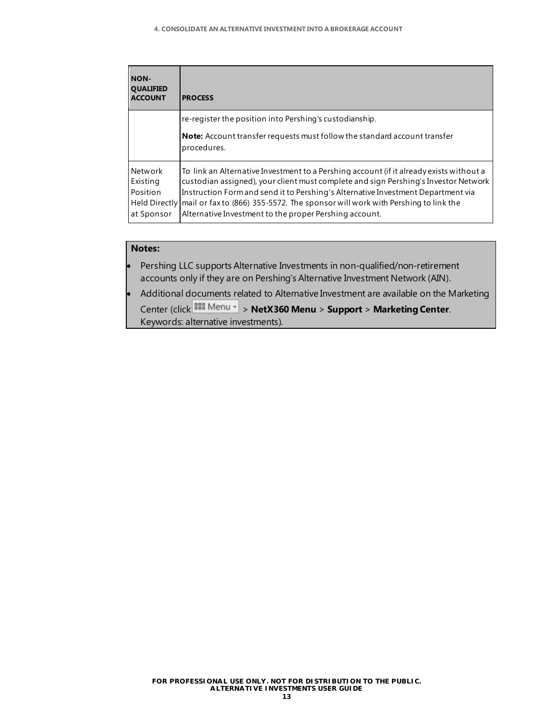| <b>NON-</b><br><b>QUALIFIED</b><br><b>ACCOUNT</b>                     | <b>PROCESS</b>                                                                                                                                                                                                                                                                                                                                                                                                 |
|-----------------------------------------------------------------------|----------------------------------------------------------------------------------------------------------------------------------------------------------------------------------------------------------------------------------------------------------------------------------------------------------------------------------------------------------------------------------------------------------------|
|                                                                       | re-register the position into Pershing's custodianship.                                                                                                                                                                                                                                                                                                                                                        |
|                                                                       | <b>Note:</b> Account transfer requests must follow the standard account transfer<br>procedures.                                                                                                                                                                                                                                                                                                                |
| Network<br>Existing<br>Position<br><b>Held Directly</b><br>at Sponsor | To link an Alternative Investment to a Pershing account (if it already exists without a<br>custodian assigned), your client must complete and sign Pershing's Investor Network<br>Instruction Form and send it to Pershing's Alternative Investment Department via<br>mail or fax to (866) 355-5572. The sponsor will work with Pershing to link the<br>Alternative Investment to the proper Pershing account. |

#### **Notes:**

- Pershing LLC supports Alternative Investments in non-qualified/non-retirement accounts only if they are on Pershing's Alternative Investment Network (AIN).
- Additional documents related to Alternative Investment are available on the Marketing Center (click > **NetX360 Menu** > **Support** > **Marketing Center**. Keywords: alternative investments).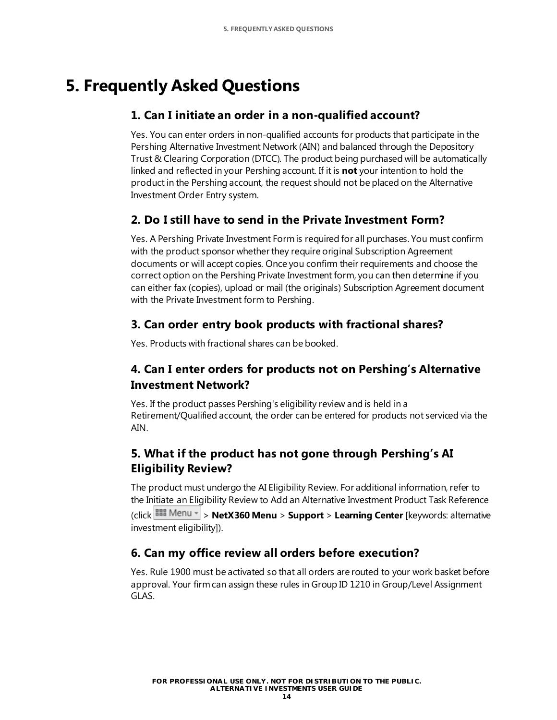## <span id="page-15-0"></span>**5. Frequently Asked Questions**

### **1. Can I initiate an order in a non-qualified account?**

Yes. You can enter orders in non-qualified accounts for products that participate in the Pershing Alternative Investment Network (AIN) and balanced through the Depository Trust & Clearing Corporation (DTCC). The product being purchased will be automatically linked and reflected in your Pershing account. If it is **not** your intention to hold the product in the Pershing account, the request should not be placed on the Alternative Investment Order Entry system.

### **2. Do I still have to send in the Private Investment Form?**

Yes. A Pershing Private Investment Form is required for all purchases. You must confirm with the product sponsor whether they require original Subscription Agreement documents or will accept copies. Once you confirm their requirements and choose the correct option on the Pershing Private Investment form, you can then determine if you can either fax (copies), upload or mail (the originals) Subscription Agreement document with the Private Investment form to Pershing.

### **3. Can order entry book products with fractional shares?**

Yes. Products with fractional shares can be booked.

### **4. Can I enter orders for products not on Pershing's Alternative Investment Network?**

Yes. If the product passes Pershing's eligibility review and is held in a Retirement/Qualified account, the order can be entered for products not serviced via the AIN.

### **5. What if the product has not gone through Pershing's AI Eligibility Review?**

The product must undergo the AI Eligibility Review. For additional information, refer to the [Initiate an Eligibility Review to Add an Alternative Investment Product Task Reference](#page-12-0) (click > **NetX360 Menu** > **Support** > **Learning Center** [keywords: alternative investment eligibility]).

### **6. Can my office review all orders before execution?**

Yes. Rule 1900 must be activated so that all orders are routed to your work basket before approval. Your firm can assign these rules in Group ID 1210 in Group/Level Assignment GLAS.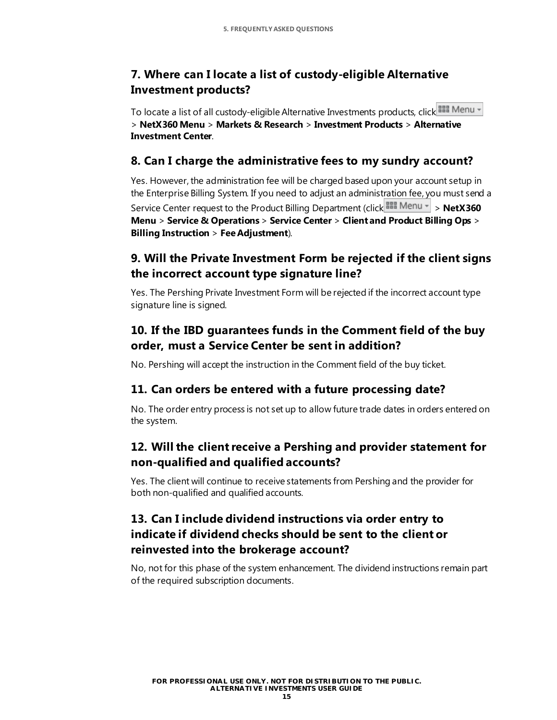### **7. Where can I locate a list of custody-eligible Alternative Investment products?**

To locate a list of all custody-eligible Alternative Investments products, click  $\frac{1200}{1200}$  Menu  $\sim$ > **NetX360 Menu** > **Markets & Research** > **Investment Products** > **Alternative Investment Center**.

### **8. Can I charge the administrative fees to my sundry account?**

Yes. However, the administration fee will be charged based upon your account setup in the Enterprise Billing System. If you need to adjust an administration fee, you must send a Service Center request to the Product Billing Department (click **BBB Menu -** > NetX360 **Menu** > **Service & Operations** > **Service Center** > **Client and Product Billing Ops** > **Billing Instruction** > **Fee Adjustment**).

### **9. Will the Private Investment Form be rejected if the client signs the incorrect account type signature line?**

Yes. The Pershing Private Investment Form will be rejected if the incorrect account type signature line is signed.

### **10. If the IBD guarantees funds in the Comment field of the buy order, must a Service Center be sent in addition?**

No. Pershing will accept the instruction in the Comment field of the buy ticket.

### **11. Can orders be entered with a future processing date?**

No. The order entry process is not set up to allow future trade dates in orders entered on the system.

### **12. Will the client receive a Pershing and provider statement for non-qualified and qualified accounts?**

Yes. The client will continue to receive statements from Pershing and the provider for both non-qualified and qualified accounts.

### **13. Can I include dividend instructions via order entry to indicate if dividend checks should be sent to the client or reinvested into the brokerage account?**

No, not for this phase of the system enhancement. The dividend instructions remain part of the required subscription documents.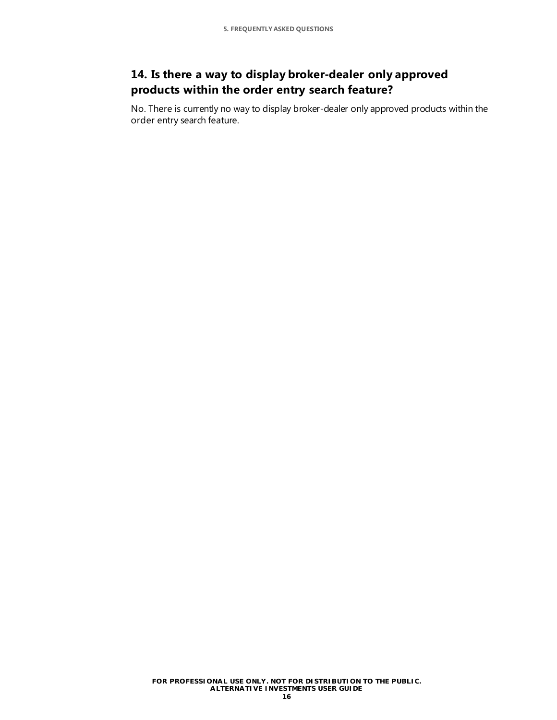### **14. Is there a way to display broker-dealer only approved products within the order entry search feature?**

No. There is currently no way to display broker-dealer only approved products within the order entry search feature.